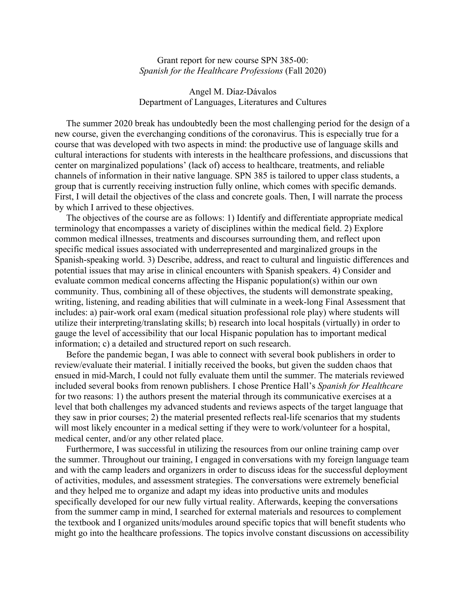Grant report for new course SPN 385-00: *Spanish for the Healthcare Professions* (Fall 2020)

Angel M. Díaz-Dávalos Department of Languages, Literatures and Cultures

 The summer 2020 break has undoubtedly been the most challenging period for the design of a new course, given the everchanging conditions of the coronavirus. This is especially true for a course that was developed with two aspects in mind: the productive use of language skills and cultural interactions for students with interests in the healthcare professions, and discussions that center on marginalized populations' (lack of) access to healthcare, treatments, and reliable channels of information in their native language. SPN 385 is tailored to upper class students, a group that is currently receiving instruction fully online, which comes with specific demands. First, I will detail the objectives of the class and concrete goals. Then, I will narrate the process by which I arrived to these objectives.

 The objectives of the course are as follows: 1) Identify and differentiate appropriate medical terminology that encompasses a variety of disciplines within the medical field. 2) Explore common medical illnesses, treatments and discourses surrounding them, and reflect upon specific medical issues associated with underrepresented and marginalized groups in the Spanish-speaking world. 3) Describe, address, and react to cultural and linguistic differences and potential issues that may arise in clinical encounters with Spanish speakers. 4) Consider and evaluate common medical concerns affecting the Hispanic population(s) within our own community. Thus, combining all of these objectives, the students will demonstrate speaking, writing, listening, and reading abilities that will culminate in a week-long Final Assessment that includes: a) pair-work oral exam (medical situation professional role play) where students will utilize their interpreting/translating skills; b) research into local hospitals (virtually) in order to gauge the level of accessibility that our local Hispanic population has to important medical information; c) a detailed and structured report on such research.

 Before the pandemic began, I was able to connect with several book publishers in order to review/evaluate their material. I initially received the books, but given the sudden chaos that ensued in mid-March, I could not fully evaluate them until the summer. The materials reviewed included several books from renown publishers. I chose Prentice Hall's *Spanish for Healthcare* for two reasons: 1) the authors present the material through its communicative exercises at a level that both challenges my advanced students and reviews aspects of the target language that they saw in prior courses; 2) the material presented reflects real-life scenarios that my students will most likely encounter in a medical setting if they were to work/volunteer for a hospital, medical center, and/or any other related place.

 Furthermore, I was successful in utilizing the resources from our online training camp over the summer. Throughout our training, I engaged in conversations with my foreign language team and with the camp leaders and organizers in order to discuss ideas for the successful deployment of activities, modules, and assessment strategies. The conversations were extremely beneficial and they helped me to organize and adapt my ideas into productive units and modules specifically developed for our new fully virtual reality. Afterwards, keeping the conversations from the summer camp in mind, I searched for external materials and resources to complement the textbook and I organized units/modules around specific topics that will benefit students who might go into the healthcare professions. The topics involve constant discussions on accessibility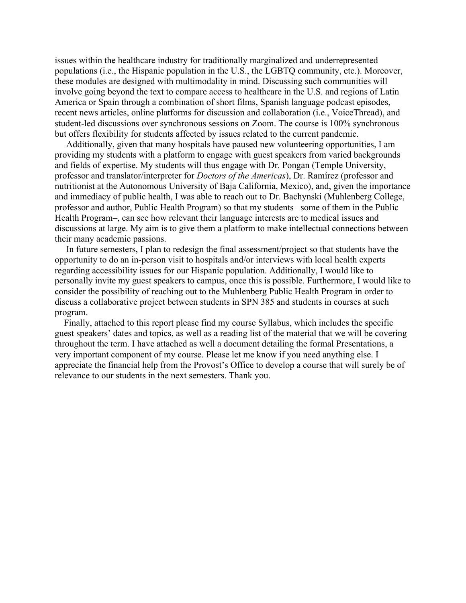issues within the healthcare industry for traditionally marginalized and underrepresented populations (i.e., the Hispanic population in the U.S., the LGBTQ community, etc.). Moreover, these modules are designed with multimodality in mind. Discussing such communities will involve going beyond the text to compare access to healthcare in the U.S. and regions of Latin America or Spain through a combination of short films, Spanish language podcast episodes, recent news articles, online platforms for discussion and collaboration (i.e., VoiceThread), and student-led discussions over synchronous sessions on Zoom. The course is 100% synchronous but offers flexibility for students affected by issues related to the current pandemic.

 Additionally, given that many hospitals have paused new volunteering opportunities, I am providing my students with a platform to engage with guest speakers from varied backgrounds and fields of expertise. My students will thus engage with Dr. Pongan (Temple University, professor and translator/interpreter for *Doctors of the Americas*), Dr. Ramírez (professor and nutritionist at the Autonomous University of Baja California, Mexico), and, given the importance and immediacy of public health, I was able to reach out to Dr. Bachynski (Muhlenberg College, professor and author, Public Health Program) so that my students –some of them in the Public Health Program–, can see how relevant their language interests are to medical issues and discussions at large. My aim is to give them a platform to make intellectual connections between their many academic passions.

 In future semesters, I plan to redesign the final assessment/project so that students have the opportunity to do an in-person visit to hospitals and/or interviews with local health experts regarding accessibility issues for our Hispanic population. Additionally, I would like to personally invite my guest speakers to campus, once this is possible. Furthermore, I would like to consider the possibility of reaching out to the Muhlenberg Public Health Program in order to discuss a collaborative project between students in SPN 385 and students in courses at such program.

 Finally, attached to this report please find my course Syllabus, which includes the specific guest speakers' dates and topics, as well as a reading list of the material that we will be covering throughout the term. I have attached as well a document detailing the formal Presentations, a very important component of my course. Please let me know if you need anything else. I appreciate the financial help from the Provost's Office to develop a course that will surely be of relevance to our students in the next semesters. Thank you.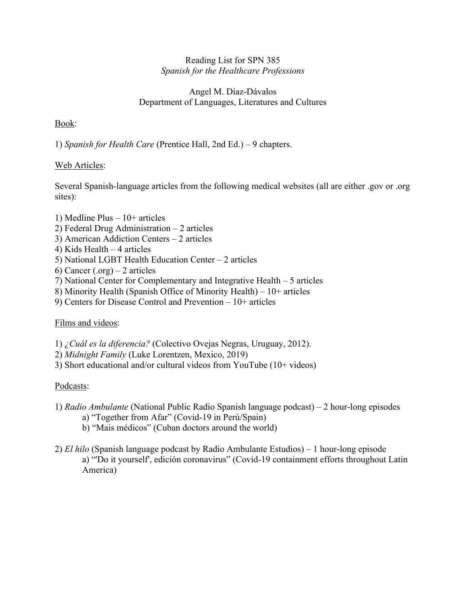#### Reading List for SPN 385 *Spanish for the Healthcare Professions*

#### Angel M. Díaz-Dávalos Department of Languages, Literatures and Cultures

### Book:

1) *Spanish for Health Care* (Prentice Hall, 2nd Ed.) – 9 chapters.

### Web Articles:

Several Spanish-language articles from the following medical websites (all are either .gov or .org sites):

- 1) Medline Plus 10+ articles
- 2) Federal Drug Administration 2 articles
- 3) American Addiction Centers 2 articles
- 4) Kids Health 4 articles
- 5) National LGBT Health Education Center 2 articles
- 6) Cancer (.org) 2 articles
- 7) National Center for Complementary and Integrative Health 5 articles
- 8) Minority Health (Spanish Office of Minority Health) 10+ articles
- 9) Centers for Disease Control and Prevention 10+ articles

#### Films and videos:

- 1) *¿Cuál es la diferencia?* (Colectivo Ovejas Negras, Uruguay, 2012).
- 2) *Midnight Family* (Luke Lorentzen, Mexico, 2019)
- 3) Short educational and/or cultural videos from YouTube (10+ videos)

#### Podcasts:

- 1) *Radio Ambulante* (National Public Radio Spanish language podcast) 2 hour-long episodes
	- a) "Together from Afar" (Covid-19 in Perú/Spain)
	- b) "Mais médicos" (Cuban doctors around the world)
- 2) *El hilo* (Spanish language podcast by Radio Ambulante Estudios) 1 hour-long episode a) "'Do it yourself', edición coronavirus" (Covid-19 containment efforts throughout Latin America)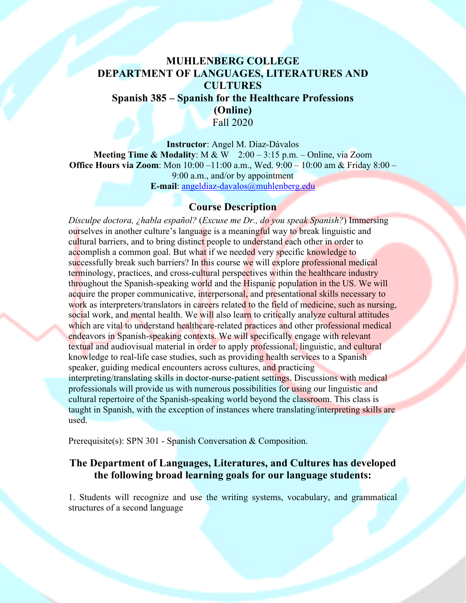# **MUHLENBERG COLLEGE DEPARTMENT OF LANGUAGES, LITERATURES AND CULTURES**

**Spanish 385 – Spanish for the Healthcare Professions (Online)** Fall 2020

**Instructor**: Angel M. Díaz-Dávalos **Meeting Time & Modality**: M & W 2:00 – 3:15 p.m. – Online, via Zoom **Office Hours via Zoom**: Mon 10:00 –11:00 a.m., Wed. 9:00 – 10:00 am & Friday 8:00 – 9:00 a.m., and/or by appointment **E-mail**: angeldiaz-davalos@muhlenberg.edu

# **Course Description**

*Disculpe doctora, ¿habla español?* (*Excuse me Dr., do you speak Spanish?*) Immersing ourselves in another culture's language is a meaningful way to break linguistic and cultural barriers, and to bring distinct people to understand each other in order to accomplish a common goal. But what if we needed very specific knowledge to successfully break such barriers? In this course we will explore professional medical terminology, practices, and cross-cultural perspectives within the healthcare industry throughout the Spanish-speaking world and the Hispanic population in the US. We will acquire the proper communicative, interpersonal, and presentational skills necessary to work as interpreters/translators in careers related to the field of medicine, such as nursing, social work, and mental health. We will also learn to critically analyze cultural attitudes which are vital to understand healthcare-related practices and other professional medical endeavors in Spanish-speaking contexts. We will specifically engage with relevant textual and audiovisual material in order to apply professional, linguistic, and cultural knowledge to real-life case studies, such as providing health services to a Spanish speaker, guiding medical encounters across cultures, and practicing interpreting/translating skills in doctor-nurse-patient settings. Discussions with medical professionals will provide us with numerous possibilities for using our linguistic and cultural repertoire of the Spanish-speaking world beyond the classroom. This class is taught in Spanish, with the exception of instances where translating/interpreting skills are used.

Prerequisite(s): SPN 301 - Spanish Conversation & Composition.

# **The Department of Languages, Literatures, and Cultures has developed the following broad learning goals for our language students:**

1. Students will recognize and use the writing systems, vocabulary, and grammatical structures of a second language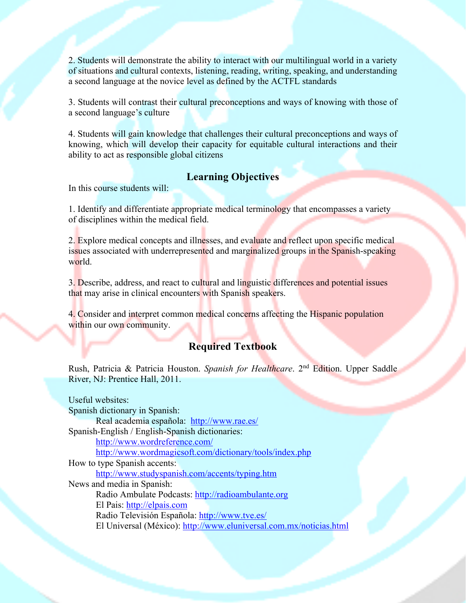2. Students will demonstrate the ability to interact with our multilingual world in a variety of situations and cultural contexts, listening, reading, writing, speaking, and understanding a second language at the novice level as defined by the ACTFL standards

3. Students will contrast their cultural preconceptions and ways of knowing with those of a second language's culture

4. Students will gain knowledge that challenges their cultural preconceptions and ways of knowing, which will develop their capacity for equitable cultural interactions and their ability to act as responsible global citizens

# **Learning Objectives**

In this course students will:

1. Identify and differentiate appropriate medical terminology that encompasses a variety of disciplines within the medical field.

2. Explore medical concepts and illnesses, and evaluate and reflect upon specific medical issues associated with underrepresented and marginalized groups in the Spanish-speaking world.

3. Describe, address, and react to cultural and linguistic differences and potential issues that may arise in clinical encounters with Spanish speakers.

4. Consider and interpret common medical concerns affecting the Hispanic population within our own community.

# **Required Textbook**

Rush, Patricia & Patricia Houston. *Spanish for Healthcare*. 2nd Edition. Upper Saddle River, NJ: Prentice Hall, 2011.

Useful websites: Spanish dictionary in Spanish: Real academia española: http://www.rae.es/ Spanish-English / English-Spanish dictionaries: http://www.wordreference.com/ http://www.wordmagicsoft.com/dictionary/tools/index.php How to type Spanish accents: http://www.studyspanish.com/accents/typing.htm News and media in Spanish: Radio Ambulate Podcasts: http://radioambulante.org El Pais: http://elpais.com Radio Televisión Española: http://www.tve.es/ El Universal (México): http://www.eluniversal.com.mx/noticias.html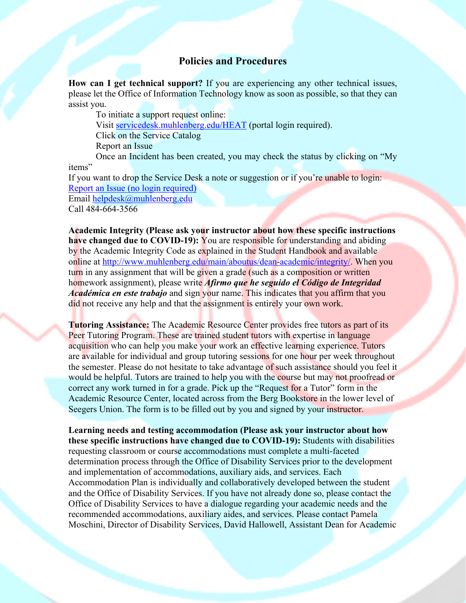#### **Policies and Procedures**

**How can I get technical support?** If you are experiencing any other technical issues, please let the Office of Information Technology know as soon as possible, so that they can assist you.

To initiate a support request online: Visit servicedesk.muhlenberg.edu/HEAT (portal login required). Click on the Service Catalog Report an Issue Once an Incident has been created, you may check the status by clicking on "My

items"

If you want to drop the Service Desk a note or suggestion or if you're unable to login: Report an Issue (no login required) Email helpdesk@muhlenberg.edu Call 484-664-3566

**Academic Integrity (Please ask your instructor about how these specific instructions have changed due to COVID-19):** You are responsible for understanding and abiding by the Academic Integrity Code as explained in the Student Handbook and available online at http://www.muhlenberg.edu/main/aboutus/dean-academic/integrity/. When you turn in any assignment that will be given a grade (such as a composition or written homework assignment), please write *Afirmo que he seguido el Código de Integridad Académica en este trabajo* and sign your name. This indicates that you affirm that you did not receive any help and that the assignment is entirely your own work.

**Tutoring Assistance:** The Academic Resource Center provides free tutors as part of its Peer Tutoring Program. These are trained student tutors with expertise in language acquisition who can help you make your work an effective learning experience. Tutors are available for individual and group tutoring sessions for one hour per week throughout the semester. Please do not hesitate to take advantage of such assistance should you feel it would be helpful. Tutors are trained to help you with the course but may not proofread or correct any work turned in for a grade. Pick up the "Request for a Tutor" form in the Academic Resource Center, located across from the Berg Bookstore in the lower level of Seegers Union. The form is to be filled out by you and signed by your instructor.

**Learning needs and testing accommodation (Please ask your instructor about how these specific instructions have changed due to COVID-19):** Students with disabilities requesting classroom or course accommodations must complete a multi-faceted determination process through the Office of Disability Services prior to the development and implementation of accommodations, auxiliary aids, and services. Each Accommodation Plan is individually and collaboratively developed between the student and the Office of Disability Services. If you have not already done so, please contact the Office of Disability Services to have a dialogue regarding your academic needs and the recommended accommodations, auxiliary aides, and services. Please contact Pamela Moschini, Director of Disability Services, David Hallowell, Assistant Dean for Academic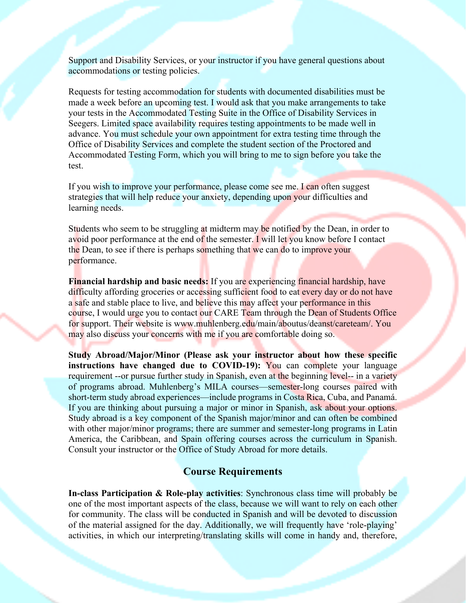Support and Disability Services, or your instructor if you have general questions about accommodations or testing policies.

Requests for testing accommodation for students with documented disabilities must be made a week before an upcoming test. I would ask that you make arrangements to take your tests in the Accommodated Testing Suite in the Office of Disability Services in Seegers. Limited space availability requires testing appointments to be made well in advance. You must schedule your own appointment for extra testing time through the Office of Disability Services and complete the student section of the Proctored and Accommodated Testing Form, which you will bring to me to sign before you take the test.

If you wish to improve your performance, please come see me. I can often suggest strategies that will help reduce your anxiety, depending upon your difficulties and learning needs.

Students who seem to be struggling at midterm may be notified by the Dean, in order to avoid poor performance at the end of the semester. I will let you know before I contact the Dean, to see if there is perhaps something that we can do to improve your performance.

**Financial hardship and basic needs:** If you are experiencing financial hardship, have difficulty affording groceries or accessing sufficient food to eat every day or do not have a safe and stable place to live, and believe this may affect your performance in this course, I would urge you to contact our CARE Team through the Dean of Students Office for support. Their website is www.muhlenberg.edu/main/aboutus/deanst/careteam/. You may also discuss your concerns with me if you are comfortable doing so.

**Study Abroad/Major/Minor (Please ask your instructor about how these specific instructions have changed due to COVID-19):** You can complete your language requirement --or pursue further study in Spanish, even at the beginning level-- in a variety of programs abroad. Muhlenberg's MILA courses—semester-long courses paired with short-term study abroad experiences—include programs in Costa Rica, Cuba, and Panamá. If you are thinking about pursuing a major or minor in Spanish, ask about your options. Study abroad is a key component of the Spanish major/minor and can often be combined with other major/minor programs; there are summer and semester-long programs in Latin America, the Caribbean, and Spain offering courses across the curriculum in Spanish. Consult your instructor or the Office of Study Abroad for more details.

#### **Course Requirements**

**In-class Participation & Role-play activities**: Synchronous class time will probably be one of the most important aspects of the class, because we will want to rely on each other for community. The class will be conducted in Spanish and will be devoted to discussion of the material assigned for the day. Additionally, we will frequently have 'role-playing' activities, in which our interpreting/translating skills will come in handy and, therefore,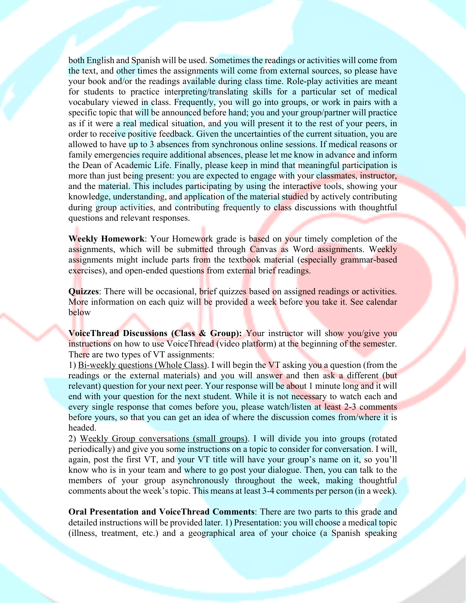both English and Spanish will be used. Sometimes the readings or activities will come from the text, and other times the assignments will come from external sources, so please have your book and/or the readings available during class time. Role-play activities are meant for students to practice interpreting/translating skills for a particular set of medical vocabulary viewed in class. Frequently, you will go into groups, or work in pairs with a specific topic that will be announced before hand; you and your group/partner will practice as if it were a real medical situation, and you will present it to the rest of your peers, in order to receive positive feedback. Given the uncertainties of the current situation, you are allowed to have up to 3 absences from synchronous online sessions. If medical reasons or family emergencies require additional absences, please let me know in advance and inform the Dean of Academic Life. Finally, please keep in mind that meaningful participation is more than just being present: you are expected to engage with your classmates, instructor, and the material. This includes participating by using the interactive tools, showing your knowledge, understanding, and application of the material studied by actively contributing during group activities, and contributing frequently to class discussions with thoughtful questions and relevant responses.

**Weekly Homework**: Your Homework grade is based on your timely completion of the assignments, which will be submitted through Canvas as Word assignments. Weekly assignments might include parts from the textbook material (especially grammar-based exercises), and open-ended questions from external brief readings.

**Quizzes**: There will be occasional, brief quizzes based on assigned readings or activities. More information on each quiz will be provided a week before you take it. See calendar below

**VoiceThread Discussions (Class & Group): Your instructor will show you/give you** instructions on how to use VoiceThread (video platform) at the beginning of the semester. There are two types of VT assignments:

1) Bi-weekly questions (Whole Class). I will begin the VT asking you a question (from the readings or the external materials) and you will answer and then ask a different (but relevant) question for your next peer. Your response will be about 1 minute long and it will end with your question for the next student. While it is not necessary to watch each and every single response that comes before you, please watch/listen at least 2-3 comments before yours, so that you can get an idea of where the discussion comes from/where it is headed.

2) Weekly Group conversations (small groups). I will divide you into groups (rotated periodically) and give you some instructions on a topic to consider for conversation. I will, again, post the first VT, and your VT title will have your group's name on it, so you'll know who is in your team and where to go post your dialogue. Then, you can talk to the members of your group asynchronously throughout the week, making thoughtful comments about the week's topic. This means at least 3-4 comments per person (in a week).

**Oral Presentation and VoiceThread Comments**: There are two parts to this grade and detailed instructions will be provided later. 1) Presentation: you will choose a medical topic (illness, treatment, etc.) and a geographical area of your choice (a Spanish speaking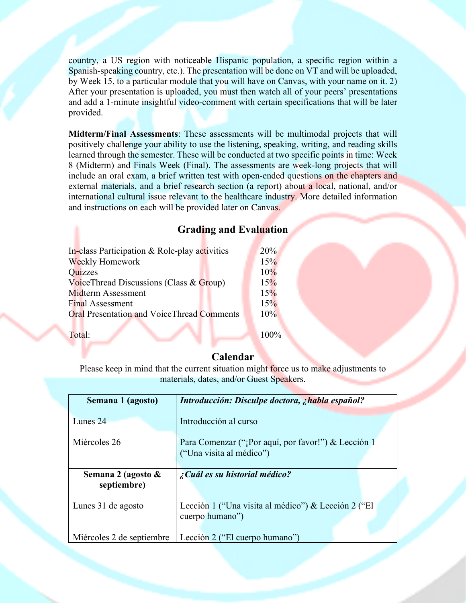country, a US region with noticeable Hispanic population, a specific region within a Spanish-speaking country, etc.). The presentation will be done on VT and will be uploaded, by Week 15, to a particular module that you will have on Canvas, with your name on it. 2) After your presentation is uploaded, you must then watch all of your peers' presentations and add a 1-minute insightful video-comment with certain specifications that will be later provided.

**Midterm/Final Assessments**: These assessments will be multimodal projects that will positively challenge your ability to use the listening, speaking, writing, and reading skills learned through the semester. These will be conducted at two specific points in time: Week 8 (Midterm) and Finals Week (Final). The assessments are week-long projects that will include an oral exam, a brief written test with open-ended questions on the chapters and external materials, and a brief research section (a report) about a local, national, and/or international cultural issue relevant to the healthcare industry. More detailed information and instructions on each will be provided later on Canvas.

# **Grading and Evaluation**

| In-class Participation & Role-play activities     | 20%    |
|---------------------------------------------------|--------|
| Weekly Homework                                   | 15%    |
| Quizzes                                           | 10%    |
| Voice Thread Discussions (Class & Group)          | 15%    |
| Midterm Assessment                                | 15%    |
| <b>Final Assessment</b>                           | 15%    |
| <b>Oral Presentation and VoiceThread Comments</b> | $10\%$ |
|                                                   |        |

Total: 100%

# **Calendar**

Please keep in mind that the current situation might force us to make adjustments to materials, dates, and/or Guest Speakers.

| Semana 1 (agosto)                 | Introducción: Disculpe doctora, ¿habla español?                                 |
|-----------------------------------|---------------------------------------------------------------------------------|
| Lunes 24                          | Introducción al curso                                                           |
| Miércoles 26                      | Para Comenzar ("¡Por aquí, por favor!") & Lección 1<br>("Una visita al médico") |
| Semana 2 (agosto &<br>septiembre) | $\zeta$ Cuál es su historial médico?                                            |
| Lunes 31 de agosto                | Lección 1 ("Una visita al médico") & Lección 2 ("El<br>cuerpo humano")          |
| Miércoles 2 de septiembre         | Lección 2 ("El cuerpo humano")                                                  |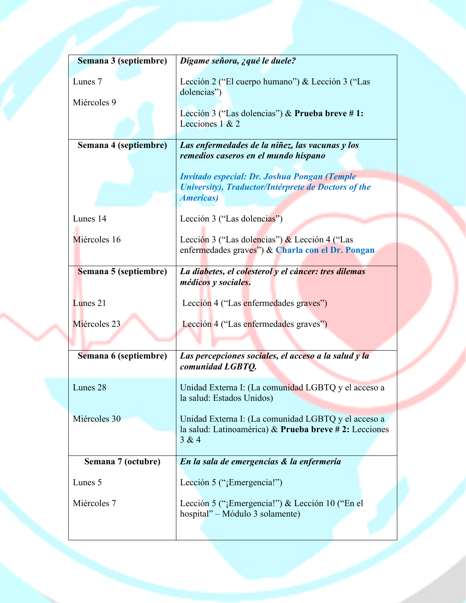| Semana 3 (septiembre) | Dígame señora, ¿qué le duele?                                                                                 |
|-----------------------|---------------------------------------------------------------------------------------------------------------|
| Lunes <sub>7</sub>    | Lección 2 ("El cuerpo humano") & Lección 3 ("Las<br>dolencias")                                               |
| Miércoles 9           | Lección 3 ("Las dolencias") & Prueba breve #1:                                                                |
|                       | Lecciones $1 & 2$                                                                                             |
| Semana 4 (septiembre) | Las enfermedades de la niñez, las vacunas y los<br>remedios caseros en el mundo hispano                       |
|                       | Invitado especial: Dr. Joshua Pongan (Temple                                                                  |
|                       | University), Traductor/Intérprete de Doctors of the<br><b>Americas</b> )                                      |
| Lunes 14              | Lección 3 ("Las dolencias")                                                                                   |
| Miércoles 16          | Lección 3 ("Las dolencias") & Lección 4 ("Las                                                                 |
|                       | enfermedades graves") & Charla con el Dr. Pongan                                                              |
| Semana 5 (septiembre) | La diabetes, el colesterol y el cáncer: tres dilemas<br><i>médicos</i> y sociales.                            |
| Lunes 21              | Lección 4 ("Las enfermedades graves")                                                                         |
| Miércoles 23          | Lección 4 ("Las enfermedades graves")                                                                         |
|                       |                                                                                                               |
| Semana 6 (septiembre) | Las percepciones sociales, el acceso a la salud y la<br>comunidad LGBTQ.                                      |
| Lunes 28              | Unidad Externa I: (La comunidad LGBTQ y el acceso a<br>la salud: Estados Unidos)                              |
| Miércoles 30          | Unidad Externa I: (La comunidad LGBTQ y el acceso a<br>la salud: Latinoamérica) & Prueba breve # 2: Lecciones |
|                       | 3 & 4                                                                                                         |
| Semana 7 (octubre)    | En la sala de emergencias & la enfermería                                                                     |
| Lunes 5               | Lección 5 ("¡Emergencia!")                                                                                    |
| Miércoles 7           | Lección 5 ("¡Emergencia!") & Lección 10 ("En el<br>hospital" – Módulo 3 solamente)                            |
|                       |                                                                                                               |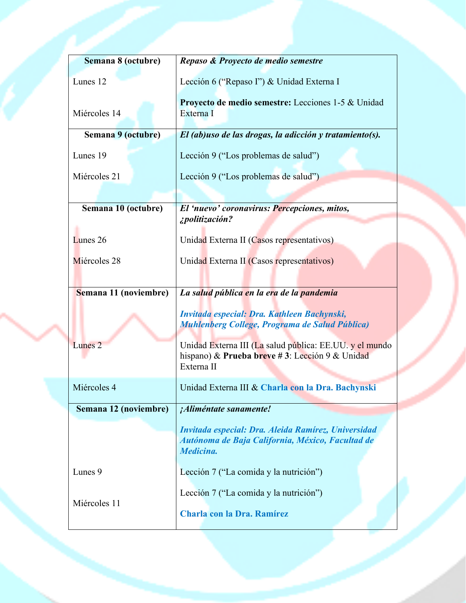| Semana 8 (octubre)    | Repaso & Proyecto de medio semestre                                                                                     |
|-----------------------|-------------------------------------------------------------------------------------------------------------------------|
| Lunes 12              | Lección 6 ("Repaso I") & Unidad Externa I                                                                               |
| Miércoles 14          | Proyecto de medio semestre: Lecciones 1-5 & Unidad<br>Externa I                                                         |
| Semana 9 (octubre)    | El (ab)uso de las drogas, la adicción y tratamiento(s).                                                                 |
| Lunes 19              | Lección 9 ("Los problemas de salud")                                                                                    |
| Miércoles 21          | Lección 9 ("Los problemas de salud")                                                                                    |
|                       |                                                                                                                         |
| Semana 10 (octubre)   | El 'nuevo' coronavirus: Percepciones, mitos,<br>¿politización?                                                          |
| Lunes 26              | Unidad Externa II (Casos representativos)                                                                               |
| Miércoles 28          | Unidad Externa II (Casos representativos)                                                                               |
| Semana 11 (noviembre) | La salud pública en la era de la pandemia                                                                               |
|                       | Invitada especial: Dra. Kathleen Bachynski,<br>Muhlenberg College, Programa de Salud Pública)                           |
| Lunes <sub>2</sub>    | Unidad Externa III (La salud pública: EE.UU. y el mundo<br>hispano) & Prueba breve #3: Lección 9 & Unidad<br>Externa II |
| Miércoles 4           | Unidad Externa III & Charla con la Dra. Bachynski                                                                       |
| Semana 12 (noviembre) | <i>¡Aliméntate sanamente!</i>                                                                                           |
|                       | Invitada especial: Dra. Aleida Ramírez, Universidad<br>Autónoma de Baja California, México, Facultad de<br>Medicina.    |
| Lunes 9               | Lección 7 ("La comida y la nutrición")                                                                                  |
| Miércoles 11          | Lección 7 ("La comida y la nutrición")                                                                                  |
|                       | Charla con la Dra. Ramírez                                                                                              |